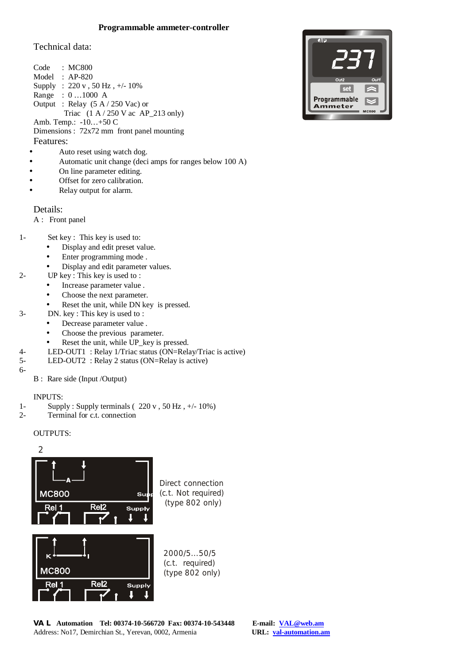# **Programmable ammeter-controller**

Technical data:

|                        | Code : MC800                                                         |  |
|------------------------|----------------------------------------------------------------------|--|
|                        | Model : $AP-820$                                                     |  |
| Supply                 | : $220 v$ , $50 Hz$ , $+/- 10\%$                                     |  |
|                        | Range : $01000$ A                                                    |  |
|                        | Output : Relay $(5 A / 250$ Vac) or                                  |  |
|                        | Triac $(1 \text{ A} / 250 \text{ V} \text{ ac } \text{AP}$ 213 only) |  |
| Amb. Temp.: $-10+50$ C |                                                                      |  |
|                        | Dimensions: 72x72 mm front panel mounting                            |  |
| Features:              |                                                                      |  |
|                        |                                                                      |  |

- Auto reset using watch dog.
- Automatic unit change (deci amps for ranges below 100 A)
- On line parameter editing.
- Offset for zero calibration.
- Relay output for alarm.

Details:

- A : Front panel
- 1- Set key : This key is used to:
	- Display and edit preset value.
	- Enter programming mode .
	- Display and edit parameter values.
- 2- UP key : This key is used to :
	- Increase parameter value .
	- Choose the next parameter.
	- Reset the unit, while DN key is pressed.
- 3- DN. key : This key is used to :
	- Decrease parameter value .
	- Choose the previous parameter.
	- Reset the unit, while UP\_key is pressed.
- 4- LED-OUT1 : Relay 1/Triac status (ON=Relay/Triac is active)
- 5- LED-OUT2 : Relay 2 status (ON=Relay is active)

6-

B : Rare side (Input /Output)

## INPUTS:

- 1- Supply : Supply terminals  $(220 \text{ v}, 50 \text{ Hz}, +/- 10\%)$
- 2- Terminal for c.t. connection

#### OUTPUTS:



(type 802 only)

**VAL Automation Tel: 00374-10-566720 Fax: 00374-10-543448 E-mail: [VAL@web.am](mailto:VAL@web.am)** Address: No17, Demirchian St., Yerevan, 0002, Armenia

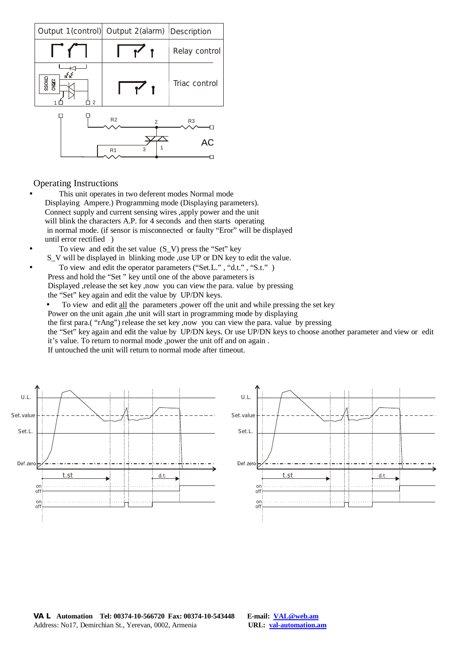

Operating Instructions

- This unit operates in two deferent modes Normal mode Displaying Ampere.) Programming mode (Displaying parameters). Connect supply and current sensing wires ,apply power and the unit will blink the characters A.P. for 4 seconds and then starts operating in normal mode. (if sensor is misconnected or faulty "Eror" will be displayed until error rectified )
- To view and edit the set value  $(S_V)$  press the "Set" key
- S\_V will be displayed in blinking mode ,use UP or DN key to edit the value.
- To view and edit the operator parameters ("Set.L.", "d.t.", "S.t.") Press and hold the "Set " key until one of the above parameters is Displayed ,release the set key ,now you can view the para. value by pressing the "Set" key again and edit the value by UP/DN keys.
	- To view and edit all the parameters ,power off the unit and while pressing the set key Power on the unit again ,the unit will start in programming mode by displaying the first para.( "rAng") release the set key ,now you can view the para. value by pressing the "Set" key again and edit the value by UP/DN keys. Or use UP/DN keys to choose another parameter and view or edit it's value. To return to normal mode ,power the unit off and on again . If untouched the unit will return to normal mode after timeout.



**VAL Automation Tel: 00374-10-566720 Fax: 00374-10-543448 E-mail: [VAL@web.am](mailto:VAL@web.am)** Address: No17, Demirchian St., Yerevan, 0002, Armenia **URL: val-automation.am**